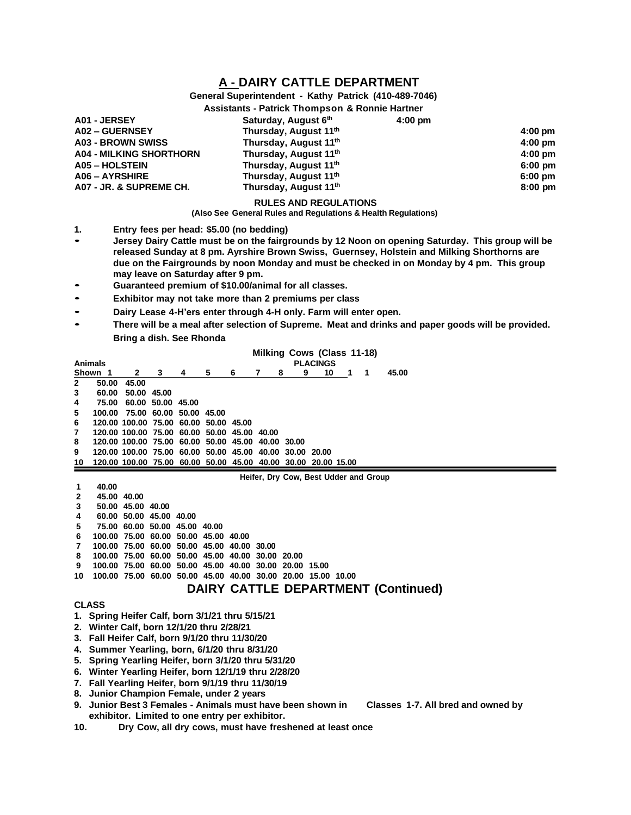# **A - DAIRY CATTLE DEPARTMENT**

# **General Superintendent - Kathy Patrick (410-489-7046)**

#### **Assistants - Patrick Thompson & Ronnie Hartner**

| A01 - JERSEY                   | Saturday, August 6th  | $4:00 \text{ pm}$ |                   |
|--------------------------------|-----------------------|-------------------|-------------------|
| A02 - GUERNSEY                 | Thursday, August 11th |                   | $4:00 \text{ pm}$ |
| <b>A03 - BROWN SWISS</b>       | Thursday, August 11th |                   | $4:00 \text{ pm}$ |
| <b>A04 - MILKING SHORTHORN</b> | Thursday, August 11th |                   | $4:00 \text{ pm}$ |
| <b>A05 - HOLSTEIN</b>          | Thursday, August 11th |                   | $6:00$ pm         |
| <b>A06 - AYRSHIRE</b>          | Thursday, August 11th |                   | $6:00 \text{ pm}$ |
| A07 - JR. & SUPREME CH.        | Thursday, August 11th |                   | $8:00$ pm         |
|                                |                       |                   |                   |

## **RULES AND REGULATIONS**

**(Also See General Rules and Regulations & Health Regulations)**

- **1. Entry fees per head: \$5.00 (no bedding)**
- **Jersey Dairy Cattle must be on the fairgrounds by <sup>12</sup> Noon on opening Saturday. This group will be released Sunday at 8 pm. Ayrshire Brown Swiss, Guernsey, Holstein and Milking Shorthorns are due on the Fairgrounds by noon Monday and must be checked in on Monday by 4 pm. This group may leave on Saturday after 9 pm.**
- **Guaranteed premium of \$10.00/animal for all classes.**
- **Exhibitor may not take more than <sup>2</sup> premiums per class**
- **Dairy Lease 4-H'ers enter through 4-H only. Farm will enter open.**
- **There will be a meal after selection of Supreme. Meat and drinks and paper goods will be provided. Bring a dish. See Rhonda**

**Milking Cows (Class 11-18)**

| <b>PLACINGS</b><br>Animals            |                                                               |                               |                   |                         |   |   |   |             |    |     |   |                                            |
|---------------------------------------|---------------------------------------------------------------|-------------------------------|-------------------|-------------------------|---|---|---|-------------|----|-----|---|--------------------------------------------|
|                                       | Shown 1                                                       | $\mathbf{2}$                  | 3                 | $\frac{4}{ }$           | 5 | 6 | 7 | 9<br>8      | 10 | - 1 | 1 | 45.00                                      |
| 2                                     | 50.00                                                         | 45.00                         |                   |                         |   |   |   |             |    |     |   |                                            |
| 3                                     | 60.00                                                         |                               | 50.00 45.00       |                         |   |   |   |             |    |     |   |                                            |
| 4                                     | 75.00                                                         |                               | 60.00 50.00 45.00 |                         |   |   |   |             |    |     |   |                                            |
| 5                                     | 100.00                                                        |                               |                   | 75.00 60.00 50.00 45.00 |   |   |   |             |    |     |   |                                            |
| 6                                     | 120.00 100.00 75.00 60.00 50.00 45.00                         |                               |                   |                         |   |   |   |             |    |     |   |                                            |
|                                       | 120.00 100.00 75.00 60.00 50.00 45.00 40.00                   |                               |                   |                         |   |   |   |             |    |     |   |                                            |
| 8                                     | 120.00 100.00 75.00 60.00 50.00 45.00                         |                               |                   |                         |   |   |   | 40.00 30.00 |    |     |   |                                            |
| 9                                     | 120.00 100.00 75.00 60.00 50.00 45.00 40.00 30.00 20.00       |                               |                   |                         |   |   |   |             |    |     |   |                                            |
| 10                                    | 120.00 100.00 75.00 60.00 50.00 45.00 40.00 30.00 20.00 15.00 |                               |                   |                         |   |   |   |             |    |     |   |                                            |
| Heifer, Dry Cow, Best Udder and Group |                                                               |                               |                   |                         |   |   |   |             |    |     |   |                                            |
| 1                                     | 40.00                                                         |                               |                   |                         |   |   |   |             |    |     |   |                                            |
| 2                                     | 45.00 40.00                                                   |                               |                   |                         |   |   |   |             |    |     |   |                                            |
| 3                                     |                                                               | 50.00 45.00 40.00             |                   |                         |   |   |   |             |    |     |   |                                            |
| 4                                     |                                                               | 60.00 50.00 45.00 40.00       |                   |                         |   |   |   |             |    |     |   |                                            |
| 5                                     |                                                               | 75.00 60.00 50.00 45.00 40.00 |                   |                         |   |   |   |             |    |     |   |                                            |
| 6                                     | 100.00 75.00 60.00 50.00 45.00 40.00                          |                               |                   |                         |   |   |   |             |    |     |   |                                            |
|                                       | 100.00 75.00 60.00 50.00 45.00 40.00 30.00                    |                               |                   |                         |   |   |   |             |    |     |   |                                            |
| 8                                     | 100.00 75.00 60.00 50.00 45.00 40.00 30.00 20.00              |                               |                   |                         |   |   |   |             |    |     |   |                                            |
| 9                                     | 100.00 75.00 60.00 50.00 45.00 40.00 30.00 20.00 15.00        |                               |                   |                         |   |   |   |             |    |     |   |                                            |
| 10                                    | 100.00 75.00 60.00 50.00 45.00 40.00 30.00 20.00 15.00 10.00  |                               |                   |                         |   |   |   |             |    |     |   |                                            |
|                                       |                                                               |                               |                   |                         |   |   |   |             |    |     |   | <b>DAIRY CATTLE DEPARTMENT (Continued)</b> |
|                                       |                                                               |                               |                   |                         |   |   |   |             |    |     |   |                                            |

## **CLASS**

- **1. Spring Heifer Calf, born 3/1/21 thru 5/15/21**
- **2. Winter Calf, born 12/1/20 thru 2/28/21**
- **3. Fall Heifer Calf, born 9/1/20 thru 11/30/20**
- **4. Summer Yearling, born, 6/1/20 thru 8/31/20**
- **5. Spring Yearling Heifer, born 3/1/20 thru 5/31/20**
- **6. Winter Yearling Heifer, born 12/1/19 thru 2/28/20**
- **7. Fall Yearling Heifer, born 9/1/19 thru 11/30/19**
- **8. Junior Champion Female, under 2 years**
- **9. Junior Best 3 Females - Animals must have been shown in Classes 1-7. All bred and owned by exhibitor. Limited to one entry per exhibitor.**
- **10. Dry Cow, all dry cows, must have freshened at least once**